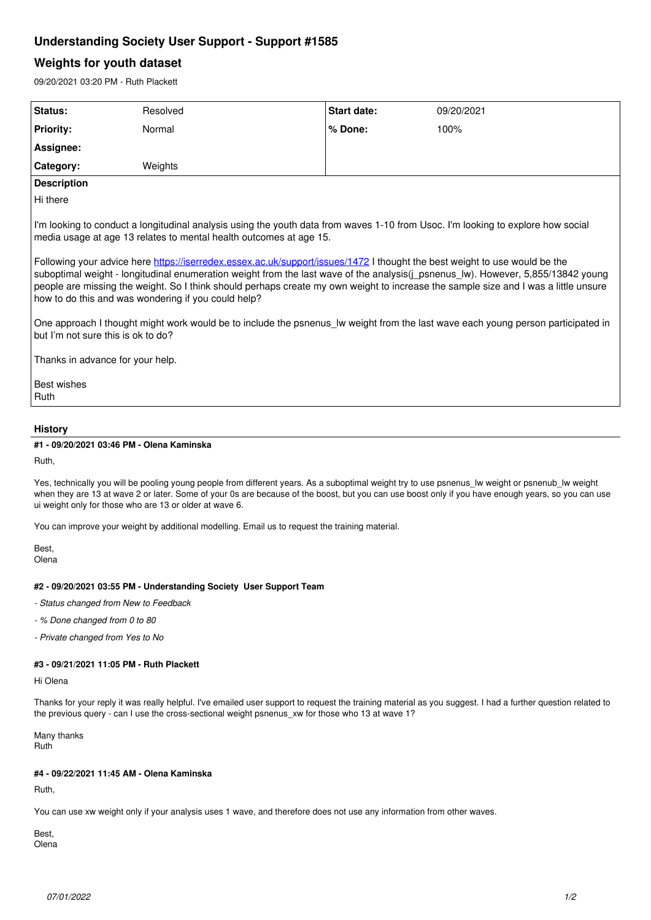# **Understanding Society User Support - Support #1585**

# **Weights for youth dataset**

09/20/2021 03:20 PM - Ruth Plackett

| Status:                                                                                                                                                                                                                                                                                                                                                                                                                                                                                                                                                                                                                                                                                                                                                                                                    | Resolved | <b>Start date:</b> | 09/20/2021 |
|------------------------------------------------------------------------------------------------------------------------------------------------------------------------------------------------------------------------------------------------------------------------------------------------------------------------------------------------------------------------------------------------------------------------------------------------------------------------------------------------------------------------------------------------------------------------------------------------------------------------------------------------------------------------------------------------------------------------------------------------------------------------------------------------------------|----------|--------------------|------------|
| <b>Priority:</b>                                                                                                                                                                                                                                                                                                                                                                                                                                                                                                                                                                                                                                                                                                                                                                                           | Normal   | % Done:            | 100%       |
| Assignee:                                                                                                                                                                                                                                                                                                                                                                                                                                                                                                                                                                                                                                                                                                                                                                                                  |          |                    |            |
| Category:                                                                                                                                                                                                                                                                                                                                                                                                                                                                                                                                                                                                                                                                                                                                                                                                  | Weights  |                    |            |
| <b>Description</b>                                                                                                                                                                                                                                                                                                                                                                                                                                                                                                                                                                                                                                                                                                                                                                                         |          |                    |            |
| Hi there                                                                                                                                                                                                                                                                                                                                                                                                                                                                                                                                                                                                                                                                                                                                                                                                   |          |                    |            |
| I'm looking to conduct a longitudinal analysis using the youth data from waves 1-10 from Usoc. I'm looking to explore how social<br>media usage at age 13 relates to mental health outcomes at age 15.<br>Following your advice here https://iserredex.essex.ac.uk/support/issues/1472 I thought the best weight to use would be the<br>suboptimal weight - longitudinal enumeration weight from the last wave of the analysis(j_psnenus_lw). However, 5,855/13842 young<br>people are missing the weight. So I think should perhaps create my own weight to increase the sample size and I was a little unsure<br>how to do this and was wondering if you could help?<br>One approach I thought might work would be to include the psnenus Iw weight from the last wave each young person participated in |          |                    |            |
| but I'm not sure this is ok to do?                                                                                                                                                                                                                                                                                                                                                                                                                                                                                                                                                                                                                                                                                                                                                                         |          |                    |            |
| Thanks in advance for your help.                                                                                                                                                                                                                                                                                                                                                                                                                                                                                                                                                                                                                                                                                                                                                                           |          |                    |            |
| Best wishes<br>Ruth                                                                                                                                                                                                                                                                                                                                                                                                                                                                                                                                                                                                                                                                                                                                                                                        |          |                    |            |

## **History**

## **#1 - 09/20/2021 03:46 PM - Olena Kaminska**

Ruth,

Yes, technically you will be pooling young people from different years. As a suboptimal weight try to use psnenus\_lw weight or psnenub\_lw weight when they are 13 at wave 2 or later. Some of your 0s are because of the boost, but you can use boost only if you have enough years, so you can use ui weight only for those who are 13 or older at wave 6.

You can improve your weight by additional modelling. Email us to request the training material.

Best, Olena

## **#2 - 09/20/2021 03:55 PM - Understanding Society User Support Team**

- *Status changed from New to Feedback*
- *% Done changed from 0 to 80*
- *Private changed from Yes to No*

# **#3 - 09/21/2021 11:05 PM - Ruth Plackett**

Hi Olena

Thanks for your reply it was really helpful. I've emailed user support to request the training material as you suggest. I had a further question related to the previous query - can I use the cross-sectional weight psnenus\_xw for those who 13 at wave 1?

Many thanks Ruth

# **#4 - 09/22/2021 11:45 AM - Olena Kaminska**

Ruth,

You can use xw weight only if your analysis uses 1 wave, and therefore does not use any information from other waves.

Best, Olena